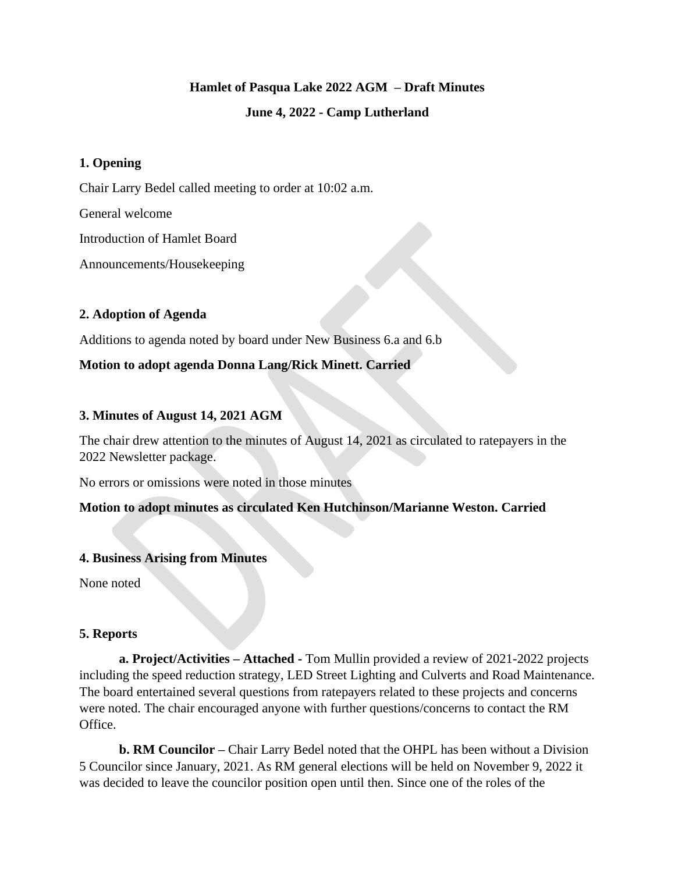# **Hamlet of Pasqua Lake 2022 AGM – Draft Minutes June 4, 2022 - Camp Lutherland**

## **1. Opening**

Chair Larry Bedel called meeting to order at 10:02 a.m.

General welcome

Introduction of Hamlet Board

Announcements/Housekeeping

## **2. Adoption of Agenda**

Additions to agenda noted by board under New Business 6.a and 6.b

# **Motion to adopt agenda Donna Lang/Rick Minett. Carried**

# **3. Minutes of August 14, 2021 AGM**

The chair drew attention to the minutes of August 14, 2021 as circulated to ratepayers in the 2022 Newsletter package.

No errors or omissions were noted in those minutes

## **Motion to adopt minutes as circulated Ken Hutchinson/Marianne Weston. Carried**

## **4. Business Arising from Minutes**

None noted

## **5. Reports**

**a. Project/Activities – Attached -** Tom Mullin provided a review of 2021-2022 projects including the speed reduction strategy, LED Street Lighting and Culverts and Road Maintenance. The board entertained several questions from ratepayers related to these projects and concerns were noted. The chair encouraged anyone with further questions/concerns to contact the RM Office.

**b. RM Councilor –** Chair Larry Bedel noted that the OHPL has been without a Division 5 Councilor since January, 2021. As RM general elections will be held on November 9, 2022 it was decided to leave the councilor position open until then. Since one of the roles of the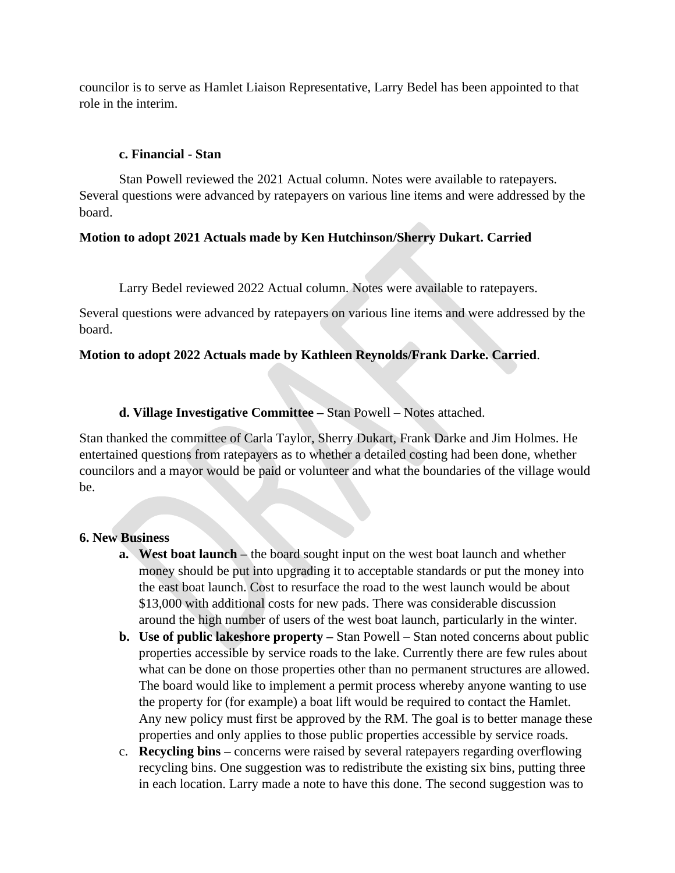councilor is to serve as Hamlet Liaison Representative, Larry Bedel has been appointed to that role in the interim.

### **c. Financial - Stan**

Stan Powell reviewed the 2021 Actual column. Notes were available to ratepayers. Several questions were advanced by ratepayers on various line items and were addressed by the board.

### **Motion to adopt 2021 Actuals made by Ken Hutchinson/Sherry Dukart. Carried**

Larry Bedel reviewed 2022 Actual column. Notes were available to ratepayers.

Several questions were advanced by ratepayers on various line items and were addressed by the board.

### **Motion to adopt 2022 Actuals made by Kathleen Reynolds/Frank Darke. Carried**.

**d. Village Investigative Committee –** Stan Powell – Notes attached.

Stan thanked the committee of Carla Taylor, Sherry Dukart, Frank Darke and Jim Holmes. He entertained questions from ratepayers as to whether a detailed costing had been done, whether councilors and a mayor would be paid or volunteer and what the boundaries of the village would be.

#### **6. New Business**

- **a. West boat launch –** the board sought input on the west boat launch and whether money should be put into upgrading it to acceptable standards or put the money into the east boat launch. Cost to resurface the road to the west launch would be about \$13,000 with additional costs for new pads. There was considerable discussion around the high number of users of the west boat launch, particularly in the winter.
- **b. Use of public lakeshore property –** Stan Powell Stan noted concerns about public properties accessible by service roads to the lake. Currently there are few rules about what can be done on those properties other than no permanent structures are allowed. The board would like to implement a permit process whereby anyone wanting to use the property for (for example) a boat lift would be required to contact the Hamlet. Any new policy must first be approved by the RM. The goal is to better manage these properties and only applies to those public properties accessible by service roads.
- c. **Recycling bins –** concerns were raised by several ratepayers regarding overflowing recycling bins. One suggestion was to redistribute the existing six bins, putting three in each location. Larry made a note to have this done. The second suggestion was to